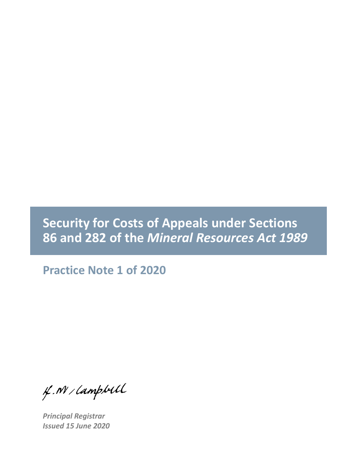## **Security for Costs of Appeals under Sections 86 and 282 of the** *Mineral Resources Act 1989*

**Practice Note 1 of 2020**

f. N / Lampbell

*Principal Registrar Issued 15 June 2020*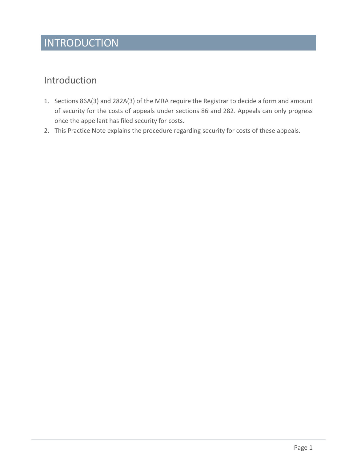# INTRODUCTION

#### Introduction

- 1. Sections 86A(3) and 282A(3) of the MRA require the Registrar to decide a form and amount of security for the costs of appeals under sections 86 and 282. Appeals can only progress once the appellant has filed security for costs.
- 2. This Practice Note explains the procedure regarding security for costs of these appeals.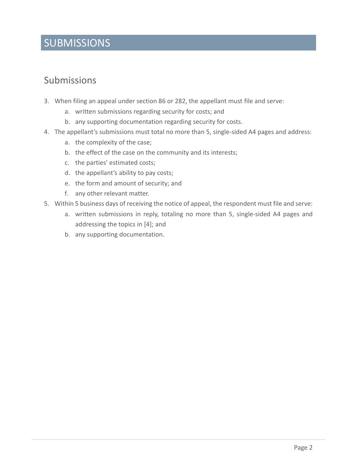### SUBMISSIONS

#### Submissions

- 3. When filing an appeal under section 86 or 282, the appellant must file and serve:
	- a. written submissions regarding security for costs; and
	- b. any supporting documentation regarding security for costs.
- 4. The appellant's submissions must total no more than 5, single-sided A4 pages and address:
	- a. the complexity of the case;
	- b. the effect of the case on the community and its interests;
	- c. the parties' estimated costs;
	- d. the appellant's ability to pay costs;
	- e. the form and amount of security; and
	- f. any other relevant matter.
- 5. Within 5 business days of receiving the notice of appeal, the respondent must file and serve:
	- a. written submissions in reply, totaling no more than 5, single-sided A4 pages and addressing the topics in [4]; and
	- b. any supporting documentation.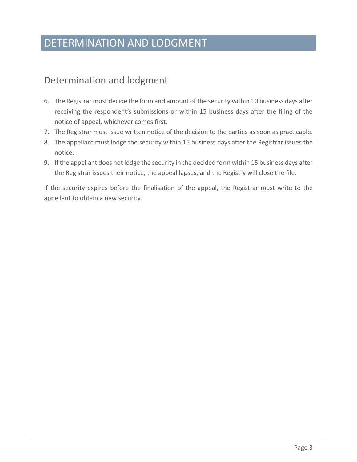### DETERMINATION AND LODGMENT

#### Determination and lodgment

- 6. The Registrar must decide the form and amount of the security within 10 business days after receiving the respondent's submissions or within 15 business days after the filing of the notice of appeal, whichever comes first.
- 7. The Registrar must issue written notice of the decision to the parties as soon as practicable.
- 8. The appellant must lodge the security within 15 business days after the Registrar issues the notice.
- 9. If the appellant does not lodge the security in the decided form within 15 business days after the Registrar issues their notice, the appeal lapses, and the Registry will close the file.

If the security expires before the finalisation of the appeal, the Registrar must write to the appellant to obtain a new security.